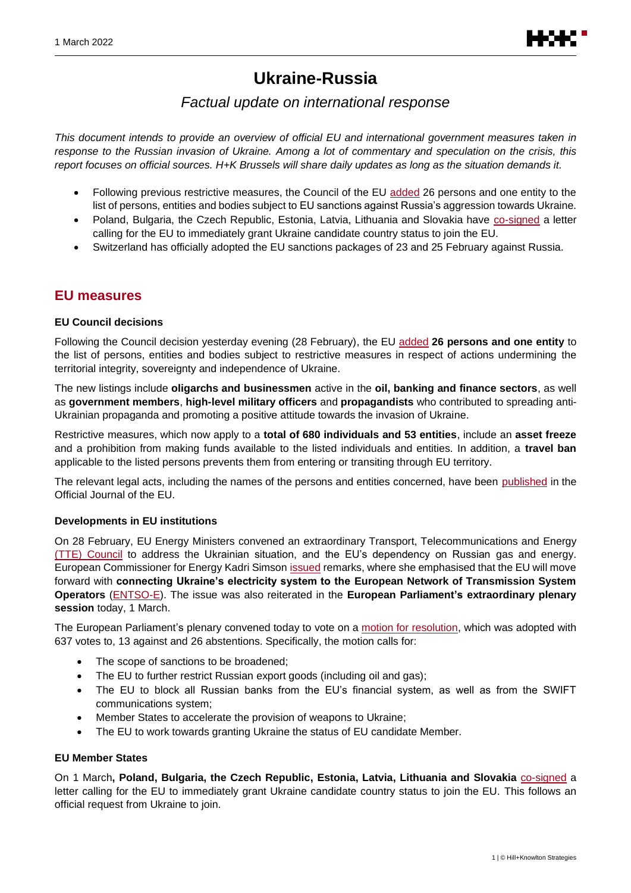

# **Ukraine-Russia**

# *Factual update on international response*

*This document intends to provide an overview of official EU and international government measures taken in response to the Russian invasion of Ukraine. Among a lot of commentary and speculation on the crisis, this report focuses on official sources. H+K Brussels will share daily updates as long as the situation demands it.*

- Following previous restrictive measures, the Council of the EU [added](https://www.consilium.europa.eu/en/press/press-releases/2022/02/28/russia-s-military-aggression-against-ukraine-council-imposes-sanctions-on-26-persons-and-one-entity/) 26 persons and one entity to the list of persons, entities and bodies subject to EU sanctions against Russia's aggression towards Ukraine.
- Poland, Bulgaria, the Czech Republic, Estonia, Latvia, Lithuania and Slovakia have [co-signed](https://www.president.pl/news/open-letter-by-presidents-in-support-of-ukraines-swift-candidacy-to-the-european-union,49584) a letter calling for the EU to immediately grant Ukraine candidate country status to join the EU.
- Switzerland has officially adopted the EU sanctions packages of 23 and 25 February against Russia.

## **EU measures**

#### **EU Council decisions**

Following the Council decision yesterday evening (28 February), the EU [added](https://www.consilium.europa.eu/en/press/press-releases/2022/02/28/russia-s-military-aggression-against-ukraine-council-imposes-sanctions-on-26-persons-and-one-entity/) **26 persons and one entity** to the list of persons, entities and bodies subject to restrictive measures in respect of actions undermining the territorial integrity, sovereignty and independence of Ukraine.

The new listings include **oligarchs and businessmen** active in the **oil, banking and finance sectors**, as well as **government members**, **high-level military officers** and **propagandists** who contributed to spreading anti-Ukrainian propaganda and promoting a positive attitude towards the invasion of Ukraine.

Restrictive measures, which now apply to a **total of 680 individuals and 53 entities**, include an **asset freeze** and a prohibition from making funds available to the listed individuals and entities. In addition, a **travel ban** applicable to the listed persons prevents them from entering or transiting through EU territory.

The relevant legal acts, including the names of the persons and entities concerned, have been [published](https://eur-lex.europa.eu/legal-content/EN/TXT/?uri=uriserv%3AOJ.L_.2022.058.01.0001.01.ENG&toc=OJ%3AL%3A2022%3A058%3ATOC) in the Official Journal of the EU.

#### **Developments in EU institutions**

On 28 February, EU Energy Ministers convened an extraordinary Transport, Telecommunications and Energy (TTE) [Council](https://www.consilium.europa.eu/en/meetings/tte/2022/02/28/?utm_source=dsms-auto&utm_medium=email&utm_campaign=Transport%2c+Telecommunications+and+Energy+Council+(Energy)) to address the Ukrainian situation, and the EU's dependency on Russian gas and energy. European Commissioner for Energy Kadri Simson [issued](https://ec.europa.eu/commission/presscorner/detail/en/SPEECH_22_1474) remarks, where she emphasised that the EU will move forward with **connecting Ukraine's electricity system to the European Network of Transmission System Operators** [\(ENTSO-E\)](https://www.entsoe.eu/). The issue was also reiterated in the **European Parliament's extraordinary plenary session** today, 1 March.

The European Parliament's plenary convened today to vote on a [motion for resolution,](https://www.europarl.europa.eu/doceo/document/B-9-2022-0123_EN.pdf) which was adopted with 637 votes to, 13 against and 26 abstentions. Specifically, the motion calls for:

- The scope of sanctions to be broadened;
- The EU to further restrict Russian export goods (including oil and gas);
- The EU to block all Russian banks from the EU's financial system, as well as from the SWIFT communications system;
- Member States to accelerate the provision of weapons to Ukraine;
- The EU to work towards granting Ukraine the status of EU candidate Member.

#### **EU Member States**

On 1 March**, Poland, Bulgaria, the Czech Republic, Estonia, Latvia, Lithuania and Slovakia** [co-signed](https://www.president.pl/news/open-letter-by-presidents-in-support-of-ukraines-swift-candidacy-to-the-european-union,49584) a letter calling for the EU to immediately grant Ukraine candidate country status to join the EU. This follows an official request from Ukraine to join.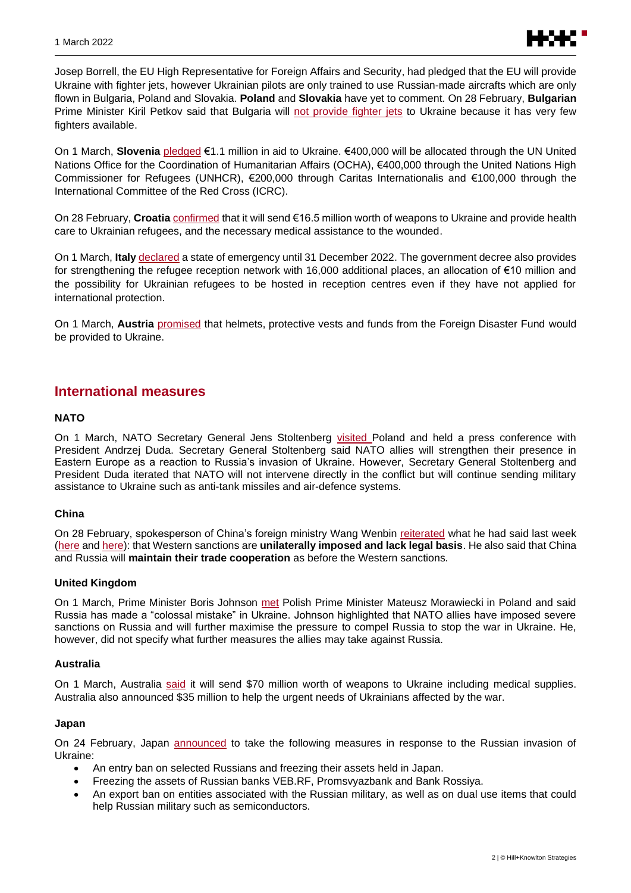

Josep Borrell, the EU High Representative for Foreign Affairs and Security, had pledged that the EU will provide Ukraine with fighter jets, however Ukrainian pilots are only trained to use Russian-made aircrafts which are only flown in Bulgaria, Poland and Slovakia. **Poland** and **Slovakia** have yet to comment. On 28 February, **Bulgarian** Prime Minister Kiril Petkov said that Bulgaria will [not provide](https://btvnovinite.bg/bulgaria/petkov-ne-sme-poeli-nikakvi-angazhimenti-da-izprashtame-balgarski-samoleti-v-ukrajna.html) fighter jets to Ukraine because it has very few fighters available.

On 1 March, **Slovenia** [pledged](https://www.gov.si/novice/2022-03-01-minister-dr-logar-napovedal-11-milijona-evrov-humanitarne-pomoci-za-ukrajino/) €1.1 million in aid to Ukraine. €400,000 will be allocated through the UN United Nations Office for the Coordination of Humanitarian Affairs (OCHA), €400,000 through the United Nations High Commissioner for Refugees (UNHCR), €200,000 through Caritas Internationalis and €100,000 through the International Committee of the Red Cross (ICRC).

On 28 February, **Croatia** [confirmed](https://vlada.gov.hr/vijesti/banozic-hrvatska-u-ukrajinu-salje-pjesacko-oruzje-dovoljno-za-cetiri-brigade/34977) that it will send €16.5 million worth of weapons to Ukraine and provide health care to Ukrainian refugees, and the necessary medical assistance to the wounded.

On 1 March, **Italy** [declared](https://www.governo.it/it/articolo/comunicazioni-del-presidente-draghi-al-senato/19295) a state of emergency until 31 December 2022. The government decree also provides for strengthening the refugee reception network with 16,000 additional places, an allocation of €10 million and the possibility for Ukrainian refugees to be hosted in reception centres even if they have not applied for international protection.

On 1 March, **Austria** [promised](https://twitter.com/karlnehammer/status/1498677622917808134) that helmets, protective vests and funds from the Foreign Disaster Fund would be provided to Ukraine.

### **International measures**

#### **NATO**

On 1 March, NATO Secretary General Jens Stoltenberg [visited](https://www.nato.int/cps/en/natohq/news_192548.htm?selectedLocale=en) Poland and held a press conference with President Andrzej Duda. Secretary General Stoltenberg said NATO allies will strengthen their presence in Eastern Europe as a reaction to Russia's invasion of Ukraine. However, Secretary General Stoltenberg and President Duda iterated that NATO will not intervene directly in the conflict but will continue sending military assistance to Ukraine such as anti-tank missiles and air-defence systems.

#### **China**

On 28 February, spokesperson of China's foreign ministry Wang Wenbin [reiterated](https://www.fmprc.gov.cn/mfa_eng/xwfw_665399/s2510_665401/2511_665403/202203/t20220301_10646858.html) what he had said last week [\(here](https://www.fmprc.gov.cn/mfa_eng/xwfw_665399/s2510_665401/2511_665403/202202/t20220225_10645705.html) an[d here\)](https://www.fmprc.gov.cn/mfa_eng/xwfw_665399/s2510_665401/2511_665403/202202/t20220228_10646378.html): that Western sanctions are **unilaterally imposed and lack legal basis**. He also said that China and Russia will **maintain their trade cooperation** as before the Western sanctions.

#### **United Kingdom**

On 1 March, Prime Minister Boris Johnson [met](https://www.gov.uk/government/speeches/prime-ministers-speech-in-poland-on-the-russian-invasion-of-ukraine-1-march-2022) Polish Prime Minister Mateusz Morawiecki in Poland and said Russia has made a "colossal mistake" in Ukraine. Johnson highlighted that NATO allies have imposed severe sanctions on Russia and will further maximise the pressure to compel Russia to stop the war in Ukraine. He, however, did not specify what further measures the allies may take against Russia.

#### **Australia**

On 1 March, Australia [said](https://www.pm.gov.au/media/australian-support-ukraine) it will send \$70 million worth of weapons to Ukraine including medical supplies. Australia also announced \$35 million to help the urgent needs of Ukrainians affected by the war.

#### **Japan**

On 24 February, Japan [announced](https://www.mofa.go.jp/press/release/press6e_000371.html) to take the following measures in response to the Russian invasion of Ukraine:

- An entry ban on selected Russians and freezing their assets held in Japan.
- Freezing the assets of Russian banks VEB.RF, Promsvyazbank and Bank Rossiya.
- An export ban on entities associated with the Russian military, as well as on dual use items that could help Russian military such as semiconductors.